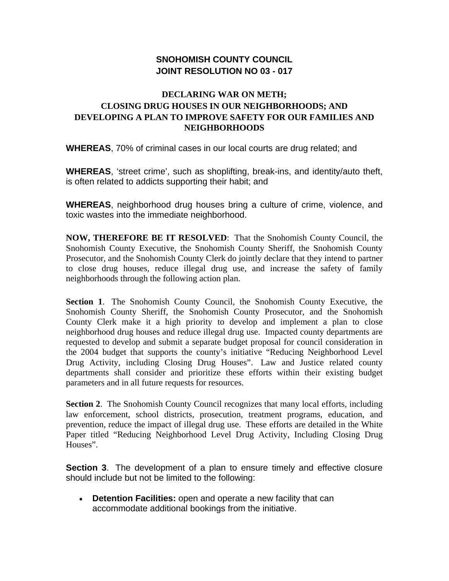## **SNOHOMISH COUNTY COUNCIL JOINT RESOLUTION NO 03 - 017**

## **DECLARING WAR ON METH; CLOSING DRUG HOUSES IN OUR NEIGHBORHOODS; AND DEVELOPING A PLAN TO IMPROVE SAFETY FOR OUR FAMILIES AND NEIGHBORHOODS**

**WHEREAS**, 70% of criminal cases in our local courts are drug related; and

**WHEREAS**, 'street crime', such as shoplifting, break-ins, and identity/auto theft, is often related to addicts supporting their habit; and

**WHEREAS**, neighborhood drug houses bring a culture of crime, violence, and toxic wastes into the immediate neighborhood.

**NOW, THEREFORE BE IT RESOLVED**: That the Snohomish County Council, the Snohomish County Executive, the Snohomish County Sheriff, the Snohomish County Prosecutor, and the Snohomish County Clerk do jointly declare that they intend to partner to close drug houses, reduce illegal drug use, and increase the safety of family neighborhoods through the following action plan.

**Section 1**. The Snohomish County Council, the Snohomish County Executive, the Snohomish County Sheriff, the Snohomish County Prosecutor, and the Snohomish County Clerk make it a high priority to develop and implement a plan to close neighborhood drug houses and reduce illegal drug use. Impacted county departments are requested to develop and submit a separate budget proposal for council consideration in the 2004 budget that supports the county's initiative "Reducing Neighborhood Level Drug Activity, including Closing Drug Houses". Law and Justice related county departments shall consider and prioritize these efforts within their existing budget parameters and in all future requests for resources.

**Section 2.** The Snohomish County Council recognizes that many local efforts, including law enforcement, school districts, prosecution, treatment programs, education, and prevention, reduce the impact of illegal drug use. These efforts are detailed in the White Paper titled "Reducing Neighborhood Level Drug Activity, Including Closing Drug Houses".

**Section 3.** The development of a plan to ensure timely and effective closure should include but not be limited to the following:

• **Detention Facilities:** open and operate a new facility that can accommodate additional bookings from the initiative.